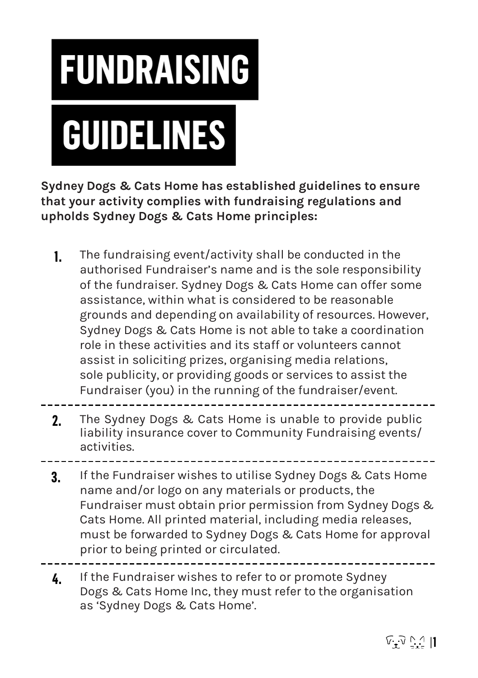

**Sydney Dogs & Cats Home has established guidelines to ensure that your activity complies with fundraising regulations and upholds Sydney Dogs & Cats Home principles:**

- **1.** The fundraising event/activity shall be conducted in the authorised Fundraiser's name and is the sole responsibility of the fundraiser. Sydney Dogs & Cats Home can offer some assistance, within what is considered to be reasonable grounds and depending on availability of resources. However, Sydney Dogs & Cats Home is not able to take a coordination role in these activities and its staff or volunteers cannot assist in soliciting prizes, organising media relations, sole publicity, or providing goods or services to assist the Fundraiser (you) in the running of the fundraiser/event.
- **2.** The Sydney Dogs & Cats Home is unable to provide public liability insurance cover to Community Fundraising events/ activities.
- **3.** If the Fundraiser wishes to utilise Sydney Dogs & Cats Home name and/or logo on any materials or products, the Fundraiser must obtain prior permission from Sydney Dogs & Cats Home. All printed material, including media releases, must be forwarded to Sydney Dogs & Cats Home for approval prior to being printed or circulated.
- **4.** If the Fundraiser wishes to refer to or promote Sydney Dogs & Cats Home Inc, they must refer to the organisation as 'Sydney Dogs & Cats Home'.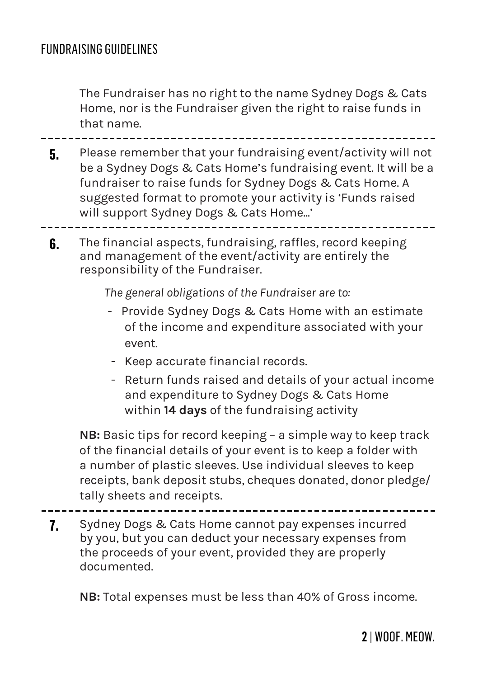The Fundraiser has no right to the name Sydney Dogs & Cats Home, nor is the Fundraiser given the right to raise funds in that name.

**5.** Please remember that your fundraising event/activity will not be a Sydney Dogs & Cats Home's fundraising event. It will be a fundraiser to raise funds for Sydney Dogs & Cats Home. A suggested format to promote your activity is 'Funds raised will support Sydney Dogs & Cats Home...'

**6.** The financial aspects, fundraising, raffles, record keeping and management of the event/activity are entirely the responsibility of the Fundraiser.

*The general obligations of the Fundraiser are to:*

- Provide Sydney Dogs & Cats Home with an estimate of the income and expenditure associated with your event.
- Keep accurate financial records.
- Return funds raised and details of your actual income and expenditure to Sydney Dogs & Cats Home within **14 days** of the fundraising activity

**NB:** Basic tips for record keeping – a simple way to keep track of the financial details of your event is to keep a folder with a number of plastic sleeves. Use individual sleeves to keep receipts, bank deposit stubs, cheques donated, donor pledge/ tally sheets and receipts.

**7.** Sydney Dogs & Cats Home cannot pay expenses incurred by you, but you can deduct your necessary expenses from the proceeds of your event, provided they are properly documented.

**NB:** Total expenses must be less than 40% of Gross income.